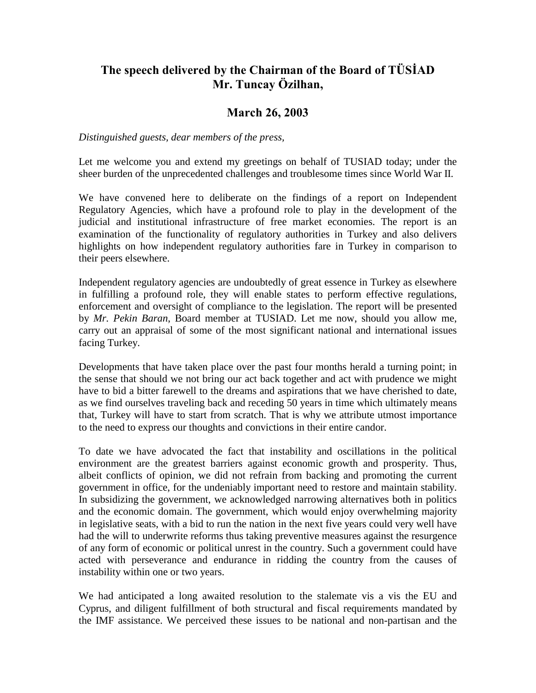## The speech delivered by the Chairman of the Board of TÜSIAD Mr. Tuncay Özilhan,

## **March 26, 2003**

## *Distinguished guests, dear members of the press,*

Let me welcome you and extend my greetings on behalf of TUSIAD today; under the sheer burden of the unprecedented challenges and troublesome times since World War II.

We have convened here to deliberate on the findings of a report on Independent Regulatory Agencies, which have a profound role to play in the development of the judicial and institutional infrastructure of free market economies. The report is an examination of the functionality of regulatory authorities in Turkey and also delivers highlights on how independent regulatory authorities fare in Turkey in comparison to their peers elsewhere.

Independent regulatory agencies are undoubtedly of great essence in Turkey as elsewhere in fulfilling a profound role, they will enable states to perform effective regulations, enforcement and oversight of compliance to the legislation. The report will be presented by *Mr. Pekin Baran*, Board member at TUSIAD. Let me now, should you allow me, carry out an appraisal of some of the most significant national and international issues facing Turkey.

Developments that have taken place over the past four months herald a turning point; in the sense that should we not bring our act back together and act with prudence we might have to bid a bitter farewell to the dreams and aspirations that we have cherished to date, as we find ourselves traveling back and receding 50 years in time which ultimately means that, Turkey will have to start from scratch. That is why we attribute utmost importance to the need to express our thoughts and convictions in their entire candor.

To date we have advocated the fact that instability and oscillations in the political environment are the greatest barriers against economic growth and prosperity. Thus, albeit conflicts of opinion, we did not refrain from backing and promoting the current government in office, for the undeniably important need to restore and maintain stability. In subsidizing the government, we acknowledged narrowing alternatives both in politics and the economic domain. The government, which would enjoy overwhelming majority in legislative seats, with a bid to run the nation in the next five years could very well have had the will to underwrite reforms thus taking preventive measures against the resurgence of any form of economic or political unrest in the country. Such a government could have acted with perseverance and endurance in ridding the country from the causes of instability within one or two years.

We had anticipated a long awaited resolution to the stalemate vis a vis the EU and Cyprus, and diligent fulfillment of both structural and fiscal requirements mandated by the IMF assistance. We perceived these issues to be national and non-partisan and the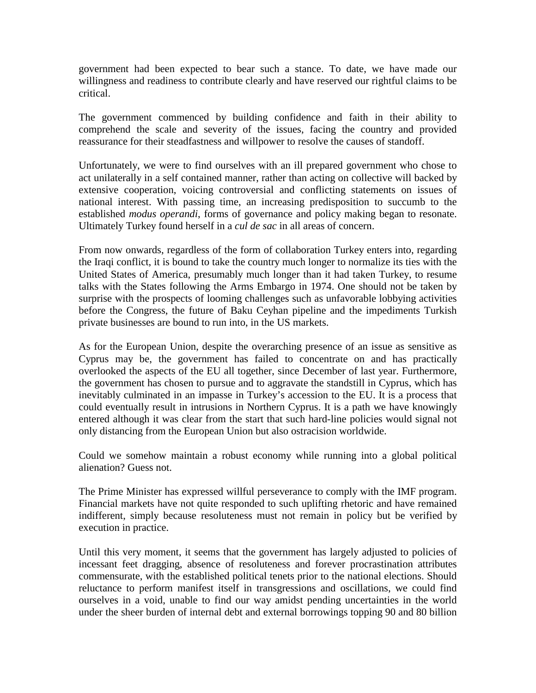government had been expected to bear such a stance. To date, we have made our willingness and readiness to contribute clearly and have reserved our rightful claims to be critical.

The government commenced by building confidence and faith in their ability to comprehend the scale and severity of the issues, facing the country and provided reassurance for their steadfastness and willpower to resolve the causes of standoff.

Unfortunately, we were to find ourselves with an ill prepared government who chose to act unilaterally in a self contained manner, rather than acting on collective will backed by extensive cooperation, voicing controversial and conflicting statements on issues of national interest. With passing time, an increasing predisposition to succumb to the established *modus operandi*, forms of governance and policy making began to resonate. Ultimately Turkey found herself in a *cul de sac* in all areas of concern.

From now onwards, regardless of the form of collaboration Turkey enters into, regarding the Iraqi conflict, it is bound to take the country much longer to normalize its ties with the United States of America, presumably much longer than it had taken Turkey, to resume talks with the States following the Arms Embargo in 1974. One should not be taken by surprise with the prospects of looming challenges such as unfavorable lobbying activities before the Congress, the future of Baku Ceyhan pipeline and the impediments Turkish private businesses are bound to run into, in the US markets.

As for the European Union, despite the overarching presence of an issue as sensitive as Cyprus may be, the government has failed to concentrate on and has practically overlooked the aspects of the EU all together, since December of last year. Furthermore, the government has chosen to pursue and to aggravate the standstill in Cyprus, which has inevitably culminated in an impasse in Turkey's accession to the EU. It is a process that could eventually result in intrusions in Northern Cyprus. It is a path we have knowingly entered although it was clear from the start that such hard-line policies would signal not only distancing from the European Union but also ostracision worldwide.

Could we somehow maintain a robust economy while running into a global political alienation? Guess not.

The Prime Minister has expressed willful perseverance to comply with the IMF program. Financial markets have not quite responded to such uplifting rhetoric and have remained indifferent, simply because resoluteness must not remain in policy but be verified by execution in practice.

Until this very moment, it seems that the government has largely adjusted to policies of incessant feet dragging, absence of resoluteness and forever procrastination attributes commensurate, with the established political tenets prior to the national elections. Should reluctance to perform manifest itself in transgressions and oscillations, we could find ourselves in a void, unable to find our way amidst pending uncertainties in the world under the sheer burden of internal debt and external borrowings topping 90 and 80 billion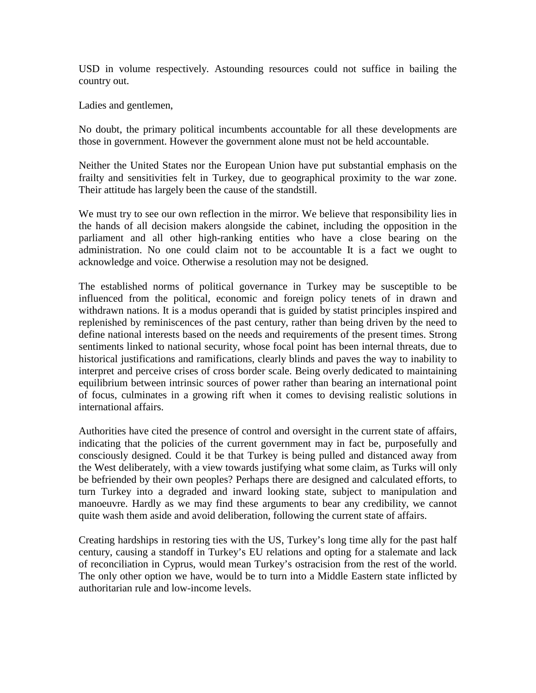USD in volume respectively. Astounding resources could not suffice in bailing the country out.

Ladies and gentlemen,

No doubt, the primary political incumbents accountable for all these developments are those in government. However the government alone must not be held accountable.

Neither the United States nor the European Union have put substantial emphasis on the frailty and sensitivities felt in Turkey, due to geographical proximity to the war zone. Their attitude has largely been the cause of the standstill.

We must try to see our own reflection in the mirror. We believe that responsibility lies in the hands of all decision makers alongside the cabinet, including the opposition in the parliament and all other high-ranking entities who have a close bearing on the administration. No one could claim not to be accountable It is a fact we ought to acknowledge and voice. Otherwise a resolution may not be designed.

The established norms of political governance in Turkey may be susceptible to be influenced from the political, economic and foreign policy tenets of in drawn and withdrawn nations. It is a modus operandi that is guided by statist principles inspired and replenished by reminiscences of the past century, rather than being driven by the need to define national interests based on the needs and requirements of the present times. Strong sentiments linked to national security, whose focal point has been internal threats, due to historical justifications and ramifications, clearly blinds and paves the way to inability to interpret and perceive crises of cross border scale. Being overly dedicated to maintaining equilibrium between intrinsic sources of power rather than bearing an international point of focus, culminates in a growing rift when it comes to devising realistic solutions in international affairs.

Authorities have cited the presence of control and oversight in the current state of affairs, indicating that the policies of the current government may in fact be, purposefully and consciously designed. Could it be that Turkey is being pulled and distanced away from the West deliberately, with a view towards justifying what some claim, as Turks will only be befriended by their own peoples? Perhaps there are designed and calculated efforts, to turn Turkey into a degraded and inward looking state, subject to manipulation and manoeuvre. Hardly as we may find these arguments to bear any credibility, we cannot quite wash them aside and avoid deliberation, following the current state of affairs.

Creating hardships in restoring ties with the US, Turkey's long time ally for the past half century, causing a standoff in Turkey's EU relations and opting for a stalemate and lack of reconciliation in Cyprus, would mean Turkey's ostracision from the rest of the world. The only other option we have, would be to turn into a Middle Eastern state inflicted by authoritarian rule and low-income levels.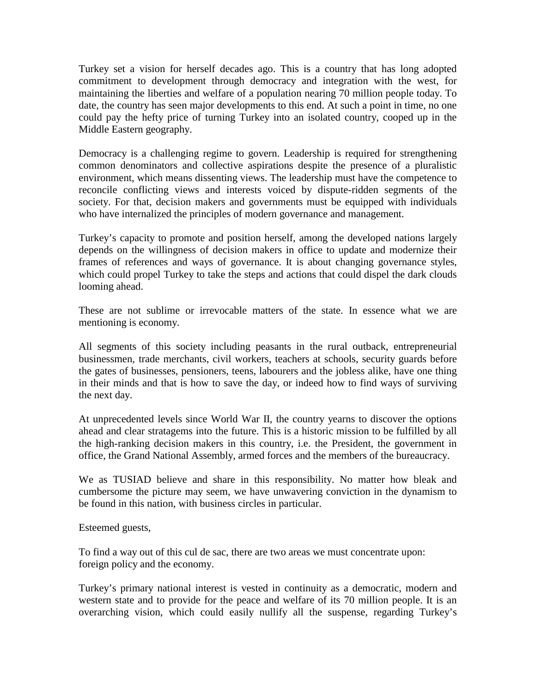Turkey set a vision for herself decades ago. This is a country that has long adopted commitment to development through democracy and integration with the west, for maintaining the liberties and welfare of a population nearing 70 million people today. To date, the country has seen major developments to this end. At such a point in time, no one could pay the hefty price of turning Turkey into an isolated country, cooped up in the Middle Eastern geography.

Democracy is a challenging regime to govern. Leadership is required for strengthening common denominators and collective aspirations despite the presence of a pluralistic environment, which means dissenting views. The leadership must have the competence to reconcile conflicting views and interests voiced by dispute-ridden segments of the society. For that, decision makers and governments must be equipped with individuals who have internalized the principles of modern governance and management.

Turkey's capacity to promote and position herself, among the developed nations largely depends on the willingness of decision makers in office to update and modernize their frames of references and ways of governance. It is about changing governance styles, which could propel Turkey to take the steps and actions that could dispel the dark clouds looming ahead.

These are not sublime or irrevocable matters of the state. In essence what we are mentioning is economy.

All segments of this society including peasants in the rural outback, entrepreneurial businessmen, trade merchants, civil workers, teachers at schools, security guards before the gates of businesses, pensioners, teens, labourers and the jobless alike, have one thing in their minds and that is how to save the day, or indeed how to find ways of surviving the next day.

At unprecedented levels since World War II, the country yearns to discover the options ahead and clear stratagems into the future. This is a historic mission to be fulfilled by all the high-ranking decision makers in this country, i.e. the President, the government in office, the Grand National Assembly, armed forces and the members of the bureaucracy.

We as TUSIAD believe and share in this responsibility. No matter how bleak and cumbersome the picture may seem, we have unwavering conviction in the dynamism to be found in this nation, with business circles in particular.

Esteemed guests,

To find a way out of this cul de sac, there are two areas we must concentrate upon: foreign policy and the economy.

Turkey's primary national interest is vested in continuity as a democratic, modern and western state and to provide for the peace and welfare of its 70 million people. It is an overarching vision, which could easily nullify all the suspense, regarding Turkey's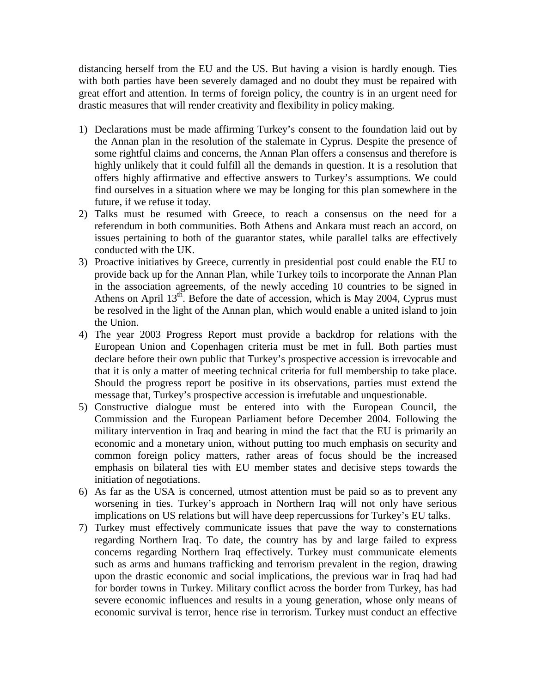distancing herself from the EU and the US. But having a vision is hardly enough. Ties with both parties have been severely damaged and no doubt they must be repaired with great effort and attention. In terms of foreign policy, the country is in an urgent need for drastic measures that will render creativity and flexibility in policy making.

- 1) Declarations must be made affirming Turkey's consent to the foundation laid out by the Annan plan in the resolution of the stalemate in Cyprus. Despite the presence of some rightful claims and concerns, the Annan Plan offers a consensus and therefore is highly unlikely that it could fulfill all the demands in question. It is a resolution that offers highly affirmative and effective answers to Turkey's assumptions. We could find ourselves in a situation where we may be longing for this plan somewhere in the future, if we refuse it today.
- 2) Talks must be resumed with Greece, to reach a consensus on the need for a referendum in both communities. Both Athens and Ankara must reach an accord, on issues pertaining to both of the guarantor states, while parallel talks are effectively conducted with the UK.
- 3) Proactive initiatives by Greece, currently in presidential post could enable the EU to provide back up for the Annan Plan, while Turkey toils to incorporate the Annan Plan in the association agreements, of the newly acceding 10 countries to be signed in Athens on April  $13<sup>th</sup>$ . Before the date of accession, which is May 2004, Cyprus must be resolved in the light of the Annan plan, which would enable a united island to join the Union.
- 4) The year 2003 Progress Report must provide a backdrop for relations with the European Union and Copenhagen criteria must be met in full. Both parties must declare before their own public that Turkey's prospective accession is irrevocable and that it is only a matter of meeting technical criteria for full membership to take place. Should the progress report be positive in its observations, parties must extend the message that, Turkey's prospective accession is irrefutable and unquestionable.
- 5) Constructive dialogue must be entered into with the European Council, the Commission and the European Parliament before December 2004. Following the military intervention in Iraq and bearing in mind the fact that the EU is primarily an economic and a monetary union, without putting too much emphasis on security and common foreign policy matters, rather areas of focus should be the increased emphasis on bilateral ties with EU member states and decisive steps towards the initiation of negotiations.
- 6) As far as the USA is concerned, utmost attention must be paid so as to prevent any worsening in ties. Turkey's approach in Northern Iraq will not only have serious implications on US relations but will have deep repercussions for Turkey's EU talks.
- 7) Turkey must effectively communicate issues that pave the way to consternations regarding Northern Iraq. To date, the country has by and large failed to express concerns regarding Northern Iraq effectively. Turkey must communicate elements such as arms and humans trafficking and terrorism prevalent in the region, drawing upon the drastic economic and social implications, the previous war in Iraq had had for border towns in Turkey. Military conflict across the border from Turkey, has had severe economic influences and results in a young generation, whose only means of economic survival is terror, hence rise in terrorism. Turkey must conduct an effective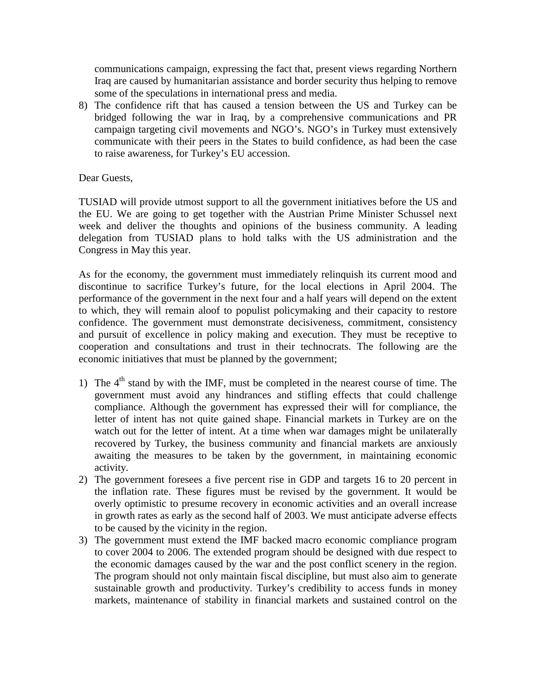communications campaign, expressing the fact that, present views regarding Northern Iraq are caused by humanitarian assistance and border security thus helping to remove some of the speculations in international press and media.

8) The confidence rift that has caused a tension between the US and Turkey can be bridged following the war in Iraq, by a comprehensive communications and PR campaign targeting civil movements and NGO's. NGO's in Turkey must extensively communicate with their peers in the States to build confidence, as had been the case to raise awareness, for Turkey's EU accession.

## Dear Guests,

TUSIAD will provide utmost support to all the government initiatives before the US and the EU. We are going to get together with the Austrian Prime Minister Schussel next week and deliver the thoughts and opinions of the business community. A leading delegation from TUSIAD plans to hold talks with the US administration and the Congress in May this year.

As for the economy, the government must immediately relinquish its current mood and discontinue to sacrifice Turkey's future, for the local elections in April 2004. The performance of the government in the next four and a half years will depend on the extent to which, they will remain aloof to populist policymaking and their capacity to restore confidence. The government must demonstrate decisiveness, commitment, consistency and pursuit of excellence in policy making and execution. They must be receptive to cooperation and consultations and trust in their technocrats. The following are the economic initiatives that must be planned by the government;

- 1) The  $4<sup>th</sup>$  stand by with the IMF, must be completed in the nearest course of time. The government must avoid any hindrances and stifling effects that could challenge compliance. Although the government has expressed their will for compliance, the letter of intent has not quite gained shape. Financial markets in Turkey are on the watch out for the letter of intent. At a time when war damages might be unilaterally recovered by Turkey, the business community and financial markets are anxiously awaiting the measures to be taken by the government, in maintaining economic activity.
- 2) The government foresees a five percent rise in GDP and targets 16 to 20 percent in the inflation rate. These figures must be revised by the government. It would be overly optimistic to presume recovery in economic activities and an overall increase in growth rates as early as the second half of 2003. We must anticipate adverse effects to be caused by the vicinity in the region.
- 3) The government must extend the IMF backed macro economic compliance program to cover 2004 to 2006. The extended program should be designed with due respect to the economic damages caused by the war and the post conflict scenery in the region. The program should not only maintain fiscal discipline, but must also aim to generate sustainable growth and productivity. Turkey's credibility to access funds in money markets, maintenance of stability in financial markets and sustained control on the